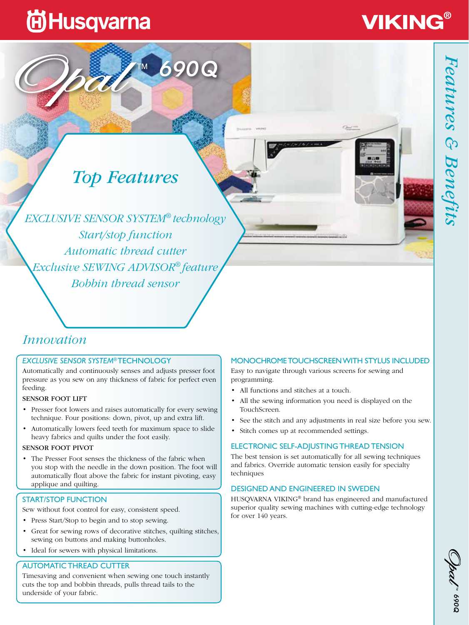## **尚Husqvarna**

# **VIKING®**

### *Top Features*

690Q

*EXCLUSIVE SENSOR SYSTEM® technology Start/stop function Automatic thread cutter Exclusive SEWING ADVISOR® feature Bobbin thread sensor*

### *Innovation*

#### *EXCLUSIVE SENSOR SYSTEM*® TECHNOLOGY

Automatically and continuously senses and adjusts presser foot pressure as you sew on any thickness of fabric for perfect even feeding.

#### SENSOR FOOT LIFT

- Presser foot lowers and raises automatically for every sewing technique. Four positions: down, pivot, up and extra lift.
- Automatically lowers feed teeth for maximum space to slide heavy fabrics and quilts under the foot easily.

#### SENSOR FOOT PIVOT

• The Presser Foot senses the thickness of the fabric when you stop with the needle in the down position. The foot will automatically float above the fabric for instant pivoting, easy applique and quilting.

#### START/STOP FUNCTION

Sew without foot control for easy, consistent speed.

- Press Start/Stop to begin and to stop sewing.
- Great for sewing rows of decorative stitches, quilting stitches, sewing on buttons and making buttonholes.
- Ideal for sewers with physical limitations.

#### AUTOMATIC THREAD CUTTER

Timesaving and convenient when sewing one touch instantly cuts the top and bobbin threads, pulls thread tails to the underside of your fabric.

#### MONOCHROME TOUCHSCREEN WITH STYLUS INCLUDED

Easy to navigate through various screens for sewing and programming.

- All functions and stitches at a touch.
- All the sewing information you need is displayed on the TouchScreen.
- See the stitch and any adjustments in real size before you sew.
- Stitch comes up at recommended settings.

#### ELECTRONIC SELF-ADJUSTING THREAD TENSION

The best tension is set automatically for all sewing techniques and fabrics. Override automatic tension easily for specialty techniques

#### DESIGNED AND ENGINEERED IN SWEDEN

HUSQVARNA VIKING® brand has engineered and manufactured superior quality sewing machines with cutting-edge technology for over 140 years.

**PO69**